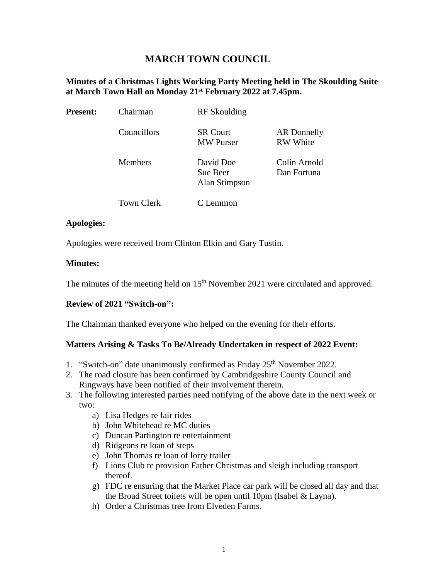# **MARCH TOWN COUNCIL**

### **Minutes of a Christmas Lights Working Party Meeting held in The Skoulding Suite at March Town Hall on Monday 21st February 2022 at 7.45pm.**

| <b>Present:</b> | Chairman          | <b>RF</b> Skoulding                    |                                |
|-----------------|-------------------|----------------------------------------|--------------------------------|
|                 | Councillors       | <b>SR Court</b><br><b>MW</b> Purser    | AR Donnelly<br><b>RW</b> White |
|                 | <b>Members</b>    | David Doe<br>Sue Beer<br>Alan Stimpson | Colin Arnold<br>Dan Fortuna    |
|                 | <b>Town Clerk</b> | C Lemmon                               |                                |

### **Apologies:**

Apologies were received from Clinton Elkin and Gary Tustin.

### **Minutes:**

The minutes of the meeting held on  $15<sup>th</sup>$  November 2021 were circulated and approved.

### **Review of 2021 "Switch-on":**

The Chairman thanked everyone who helped on the evening for their efforts.

### **Matters Arising & Tasks To Be/Already Undertaken in respect of 2022 Event:**

- 1. "Switch-on" date unanimously confirmed as Friday 25<sup>th</sup> November 2022.
- 2. The road closure has been confirmed by Cambridgeshire County Council and Ringways have been notified of their involvement therein.
- 3. The following interested parties need notifying of the above date in the next week or two:
	- a) Lisa Hedges re fair rides
	- b) John Whitehead re MC duties
	- c) Duncan Partington re entertainment
	- d) Ridgeons re loan of steps
	- e) John Thomas re loan of lorry trailer
	- f) Lions Club re provision Father Christmas and sleigh including transport thereof.
	- g) FDC re ensuring that the Market Place car park will be closed all day and that the Broad Street toilets will be open until 10pm (Isabel & Layna).
	- h) Order a Christmas tree from Elveden Farms.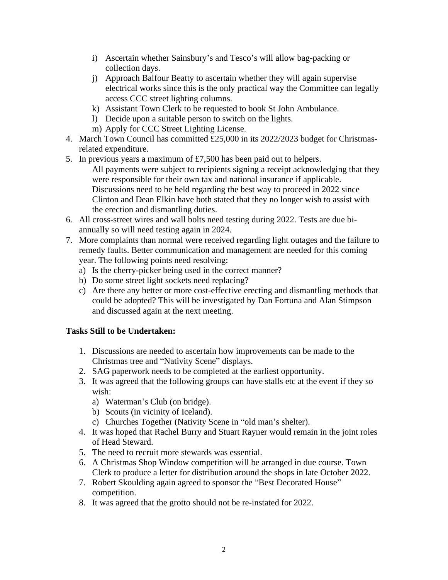- i) Ascertain whether Sainsbury's and Tesco's will allow bag-packing or collection days.
- j) Approach Balfour Beatty to ascertain whether they will again supervise electrical works since this is the only practical way the Committee can legally access CCC street lighting columns.
- k) Assistant Town Clerk to be requested to book St John Ambulance.
- l) Decide upon a suitable person to switch on the lights.
- m) Apply for CCC Street Lighting License.
- 4. March Town Council has committed £25,000 in its 2022/2023 budget for Christmasrelated expenditure.
- 5. In previous years a maximum of  $\text{\pounds}7,500$  has been paid out to helpers.
	- All payments were subject to recipients signing a receipt acknowledging that they were responsible for their own tax and national insurance if applicable. Discussions need to be held regarding the best way to proceed in 2022 since Clinton and Dean Elkin have both stated that they no longer wish to assist with the erection and dismantling duties.
- 6. All cross-street wires and wall bolts need testing during 2022. Tests are due biannually so will need testing again in 2024.
- 7. More complaints than normal were received regarding light outages and the failure to remedy faults. Better communication and management are needed for this coming year. The following points need resolving:
	- a) Is the cherry-picker being used in the correct manner?
	- b) Do some street light sockets need replacing?
	- c) Are there any better or more cost-effective erecting and dismantling methods that could be adopted? This will be investigated by Dan Fortuna and Alan Stimpson and discussed again at the next meeting.

## **Tasks Still to be Undertaken:**

- 1. Discussions are needed to ascertain how improvements can be made to the Christmas tree and "Nativity Scene" displays.
- 2. SAG paperwork needs to be completed at the earliest opportunity.
- 3. It was agreed that the following groups can have stalls etc at the event if they so wish:
	- a) Waterman's Club (on bridge).
	- b) Scouts (in vicinity of Iceland).
	- c) Churches Together (Nativity Scene in "old man's shelter).
- 4. It was hoped that Rachel Burry and Stuart Rayner would remain in the joint roles of Head Steward.
- 5. The need to recruit more stewards was essential.
- 6. A Christmas Shop Window competition will be arranged in due course. Town Clerk to produce a letter for distribution around the shops in late October 2022.
- 7. Robert Skoulding again agreed to sponsor the "Best Decorated House" competition.
- 8. It was agreed that the grotto should not be re-instated for 2022.